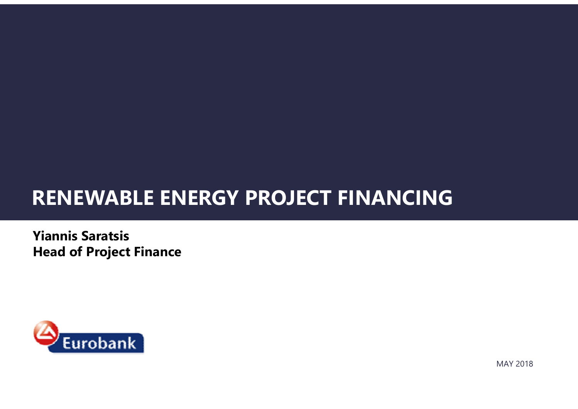### RENEWABLE ENERGY PROJECT FINANCING

Yiannis Saratsis Head of Project Finance



MAY 2018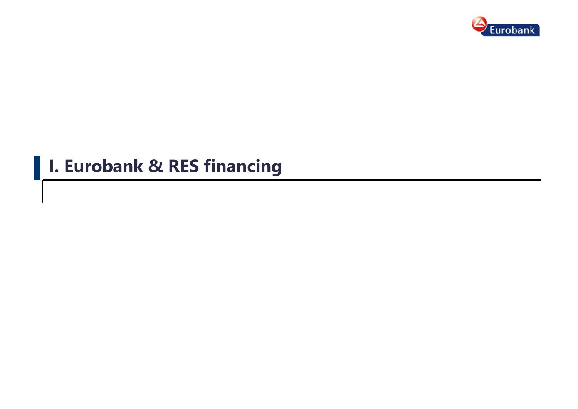

### **I. Eurobank & RES financing**

I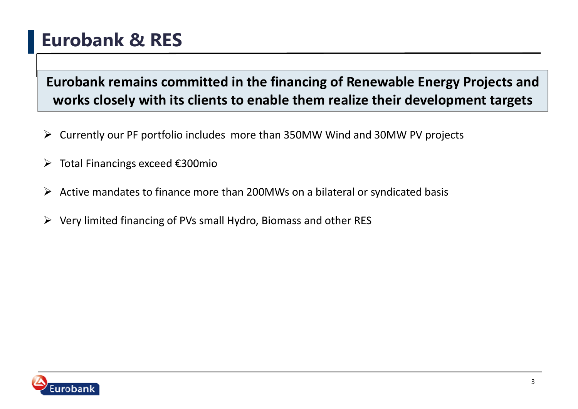### Eurobank & RES

Eurobank remains committed in the financing of Renewable Energy Projects and works closely with its clients to enable them realize their development targets

- Currently our PF portfolio includes more than 350MW Wind and 30MW PV projects
- ➤ Total Financings exceed €300mio
- $\blacktriangleright$ Active mandates to finance more than 200MWs on a bilateral or syndicated basis
- $\blacktriangleright$ Very limited financing of PVs small Hydro, Biomass and other RES

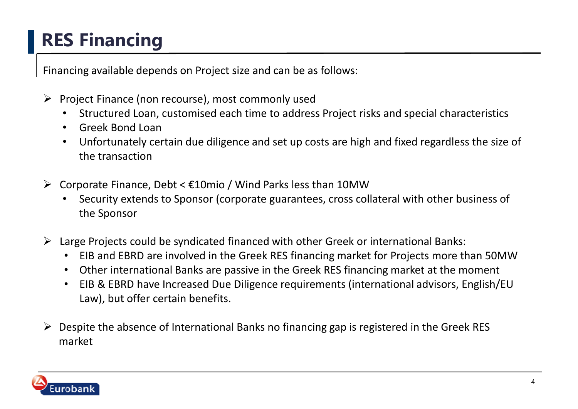## RES Financing

Financing available depends on Project size and can be as follows:

- Project Finance (non recourse), most commonly used<br>Characterised Loop customized and time to address
	- •Structured Loan, customised each time to address Project risks and special characteristics
	- $\bullet$ Greek Bond Loan
	- Unfortunately certain due diligence and set up costs are high and fixed regardless the size of •the transaction
- Corporate Finance, Debt < €10mio / Wind Parks less than 10MW
	- Security extends to Sponsor (corporate guarantees, cross collateral with other business of •the Sponsor
- ► Large Projects could be syndicated financed with other Greek or international Banks:<br>
FIR and FBB are involved in the Greek BES financias market for Projects mannet
	- EIB and EBRD are involved in the Greek RES financing market for Projects more than 50MW
	- •Other international Banks are passive in the Greek RES financing market at the moment
	- • EIB & EBRD have Increased Due Diligence requirements (international advisors, English/EU Law), but offer certain benefits.
- ► Despite the absence of International Banks no financing gap is registered in the Greek RES<br>market market

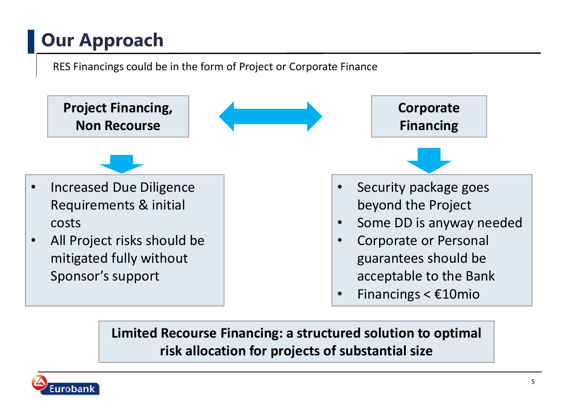## Our Approach

RES Financings could be in the form of Project or Corporate Finance



Limited Recourse Financing: a structured solution to optimal risk allocation for projects of substantial size

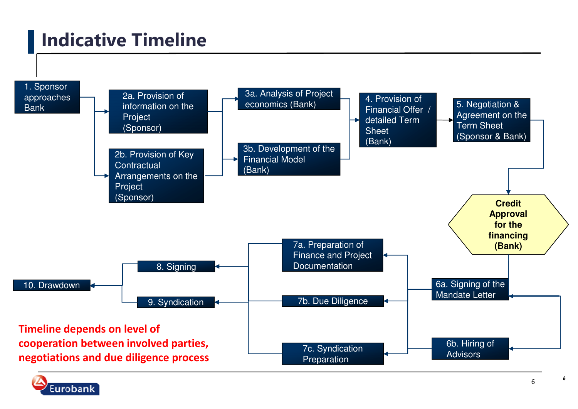### Indicative Timeline





6

6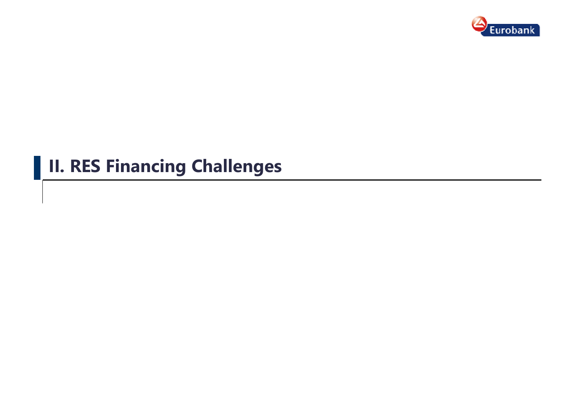

### **II. RES Financing Challenges**

I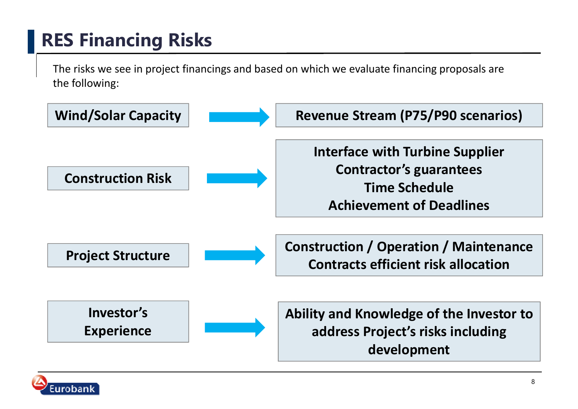## RES Financing Risks

The risks we see in project financings and based on which we evaluate financing proposals are the following:



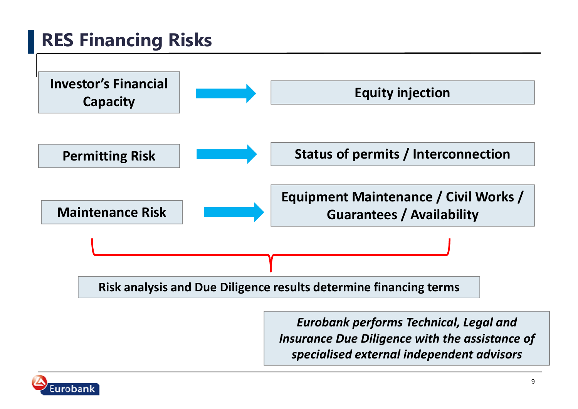## RES Financing Risks



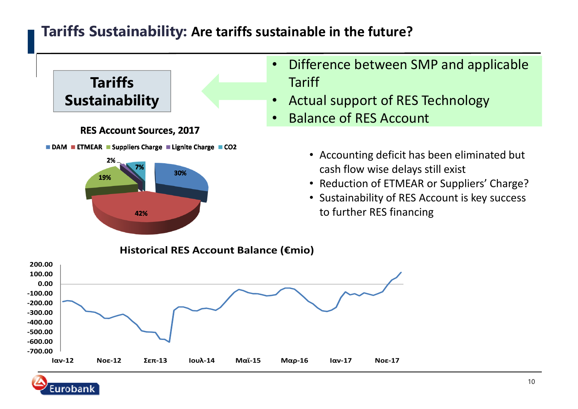### Tariffs Sustainability: Are tariffs sustainable in the future?



- Difference between SMP and applicable
- Actual support of RES Technology
- Balance of RES Account
	- Accounting deficit has been eliminated but cash flow wise delays still exist
	- Reduction of ETMEAR or Suppliers' Charge?
	- Sustainability of RES Account is key success to further RES financing



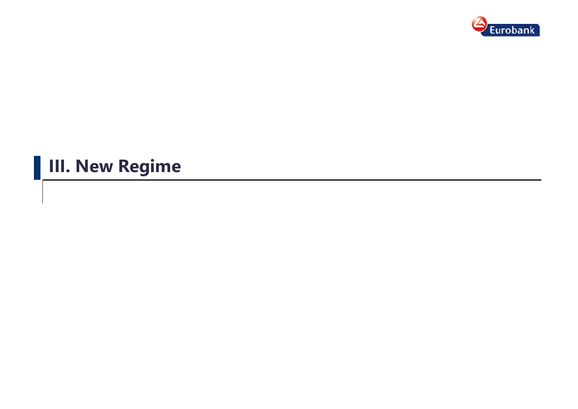

## **III. New Regime**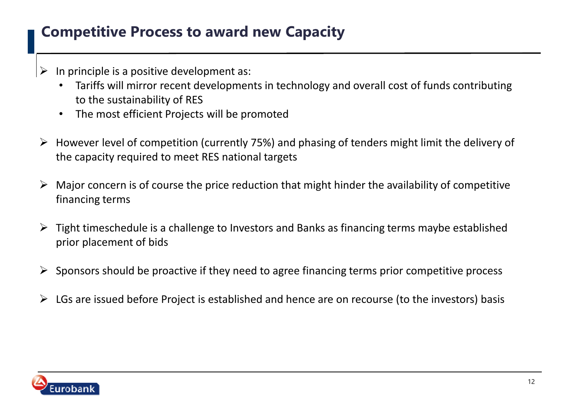### Competitive Process to award new Capacity

- $\blacktriangleright$  In principle is a positive development as:
	- • Tariffs will mirror recent developments in technology and overall cost of funds contributing to the sustainability of RES
	- The most efficient Projects will be promoted•
- $\triangleright$  However level of competition (currently 75%) and phasing of tenders might limit the delivery of the capacity required to meet RES national targets
- $\triangleright$  Major concern is of course the price reduction that might hinder the availability of competitive financing terms. financing terms
- Fight timeschedule is a challenge to Investors and Banks as financing terms maybe established<br>main placement of hide prior placement of bids
- $\blacktriangleright$ Sponsors should be proactive if they need to agree financing terms prior competitive process
- $\triangleright$  LGs are issued before Project is established and hence are on recourse (to the investors) basis

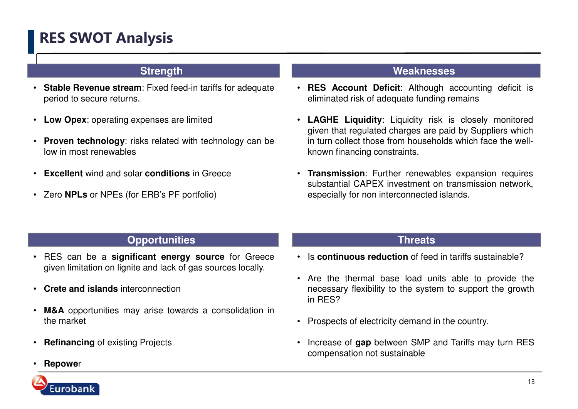### RES SWOT Analysis

#### **Strength**

- **Stable Revenue stream**: Fixed feed-in tariffs for adequateperiod to secure returns.
- •**Low Opex**: operating expenses are limited
- •**Proven technology:** risks related with technology can be low in most renewables
- •**Excellent** wind and solar **conditions** in Greece
- Zero **NPLs** or NPEs (for ERB's PF portfolio)

#### **Weaknesses**

- **RES Account Deficit**: Although accounting deficit iseliminated risk of adequate funding remains
- **LAGHE Liquidity**: Liquidity risk is closely monitored given that regulated charges are paid by Suppliers which in turn collect those from households which face the wellknown financing constraints.
- **Transmission**: Further renewables expansion requires substantial CAPEX investment on transmission network, especially for non interconnected islands.

#### **Opportunities**

- • RES can be <sup>a</sup> **significant energy source** for Greece given limitation on lignite and lack of gas sources locally.
- •**Crete and islands** interconnection
- • **M&A** opportunities may arise towards <sup>a</sup> consolidation in the market
- •**Refinancing** of existing Projects

### **S Threats**

- Is **continuous reduction** of feed in tariffs sustainable?
- Are the thermal base load units able to provide the necessary flexibility to the system to support the growthin RES?
- Prospects of electricity demand in the country.
- • Increase of **gap** between SMP and Tariffs may turn REScompensation not sustainable

•**Repowe**<sup>r</sup>

urobanl